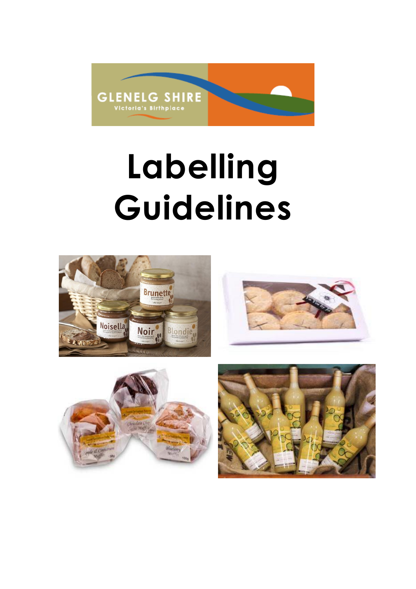

# **Labelling Guidelines**





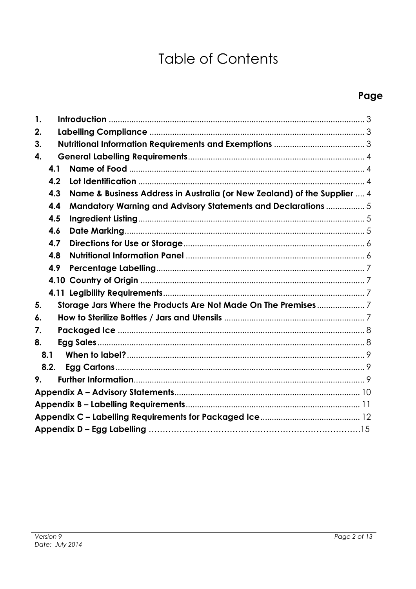# **Table of Contents**

# Page

| 1. |      |                                                                          |  |  |  |  |  |
|----|------|--------------------------------------------------------------------------|--|--|--|--|--|
| 2. |      |                                                                          |  |  |  |  |  |
| 3. |      |                                                                          |  |  |  |  |  |
| 4. |      |                                                                          |  |  |  |  |  |
|    | 4.1  |                                                                          |  |  |  |  |  |
|    | 4.2  |                                                                          |  |  |  |  |  |
|    | 4.3  | Name & Business Address in Australia (or New Zealand) of the Supplier  4 |  |  |  |  |  |
|    | 4.4  | <b>Mandatory Warning and Advisory Statements and Declarations  5</b>     |  |  |  |  |  |
|    | 4.5  |                                                                          |  |  |  |  |  |
|    | 4.6  |                                                                          |  |  |  |  |  |
|    | 4.7  |                                                                          |  |  |  |  |  |
|    | 4.8  |                                                                          |  |  |  |  |  |
|    | 4.9  |                                                                          |  |  |  |  |  |
|    |      |                                                                          |  |  |  |  |  |
|    |      |                                                                          |  |  |  |  |  |
| 5. |      |                                                                          |  |  |  |  |  |
| 6. |      |                                                                          |  |  |  |  |  |
| 7. |      |                                                                          |  |  |  |  |  |
| 8. |      |                                                                          |  |  |  |  |  |
|    | 8.1  |                                                                          |  |  |  |  |  |
|    | 8.2. |                                                                          |  |  |  |  |  |
| 9. |      |                                                                          |  |  |  |  |  |
|    |      |                                                                          |  |  |  |  |  |
|    |      |                                                                          |  |  |  |  |  |
|    |      |                                                                          |  |  |  |  |  |
|    |      |                                                                          |  |  |  |  |  |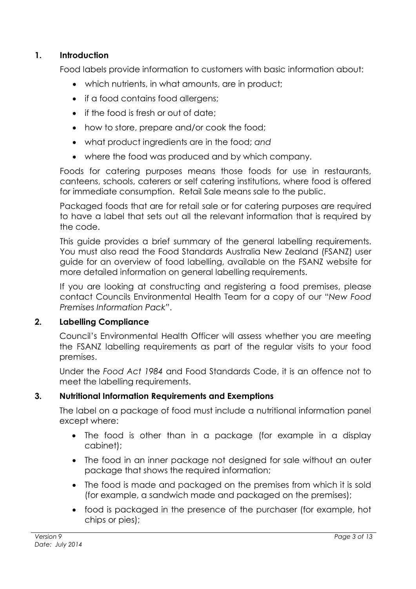#### <span id="page-2-0"></span>**1. Introduction**

Food labels provide information to customers with basic information about:

- which nutrients, in what amounts, are in product;
- if a food contains food allergens;
- if the food is fresh or out of date:
- how to store, prepare and/or cook the food;
- what product ingredients are in the food; *and*
- where the food was produced and by which company.

Foods for catering purposes means those foods for use in restaurants, canteens, schools, caterers or self catering institutions, where food is offered for immediate consumption. Retail Sale means sale to the public.

Packaged foods that are for retail sale or for catering purposes are required to have a label that sets out all the relevant information that is required by the code.

This guide provides a brief summary of the general labelling requirements. You must also read the Food Standards Australia New Zealand (FSANZ) user guide for an overview of food labelling, available on the FSANZ website for more detailed information on general labelling requirements.

If you are looking at constructing and registering a food premises, please contact Councils Environmental Health Team for a copy of our "*New Food Premises Information Pack*".

#### <span id="page-2-1"></span>**2. Labelling Compliance**

Council's Environmental Health Officer will assess whether you are meeting the FSANZ labelling requirements as part of the regular visits to your food premises.

Under the *Food Act 1984* and Food Standards Code, it is an offence not to meet the labelling requirements.

#### <span id="page-2-2"></span>**3. Nutritional Information Requirements and Exemptions**

The label on a package of food must include a nutritional information panel except where:

- The food is other than in a package (for example in a display cabinet);
- The food in an inner package not designed for sale without an outer package that shows the required information;
- The food is made and packaged on the premises from which it is sold (for example, a sandwich made and packaged on the premises);
- food is packaged in the presence of the purchaser (for example, hot chips or pies);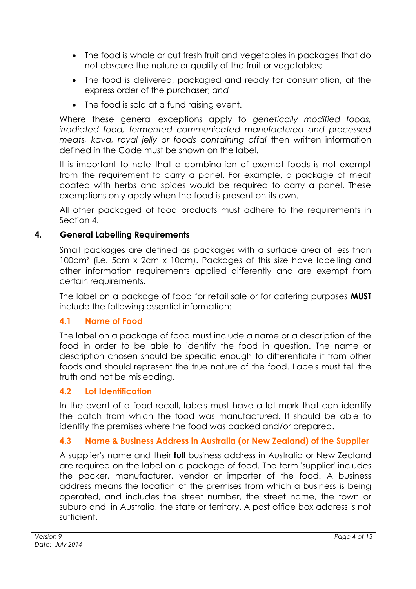- The food is whole or cut fresh fruit and vegetables in packages that do not obscure the nature or quality of the fruit or vegetables;
- The food is delivered, packaged and ready for consumption, at the express order of the purchaser; *and*
- The food is sold at a fund raising event.

Where these general exceptions apply to *genetically modified foods, irradiated food, fermented communicated manufactured and processed meats, kava, royal jelly or foods containing offal* then written information defined in the Code must be shown on the label.

It is important to note that a combination of exempt foods is not exempt from the requirement to carry a panel. For example, a package of meat coated with herbs and spices would be required to carry a panel. These exemptions only apply when the food is present on its own.

All other packaged of food products must adhere to the requirements in Section 4.

### <span id="page-3-0"></span>**4. General Labelling Requirements**

Small packages are defined as packages with a surface area of less than 100cm² (i.e. 5cm x 2cm x 10cm). Packages of this size have labelling and other information requirements applied differently and are exempt from certain requirements.

The label on a package of food for retail sale or for catering purposes **MUST** include the following essential information:

#### <span id="page-3-1"></span>**4.1 Name of Food**

The label on a package of food must include a name or a description of the food in order to be able to identify the food in question. The name or description chosen should be specific enough to differentiate it from other foods and should represent the true nature of the food. Labels must tell the truth and not be misleading.

# <span id="page-3-2"></span>**4.2 Lot Identification**

In the event of a food recall, labels must have a lot mark that can identify the batch from which the food was manufactured. It should be able to identify the premises where the food was packed and/or prepared.

# <span id="page-3-3"></span>**4.3 Name & Business Address in Australia (or New Zealand) of the Supplier**

A supplier's name and their **full** business address in Australia or New Zealand are required on the label on a package of food. The term 'supplier' includes the packer, manufacturer, vendor or importer of the food. A business address means the location of the premises from which a business is being operated, and includes the street number, the street name, the town or suburb and, in Australia, the state or territory. A post office box address is not sufficient.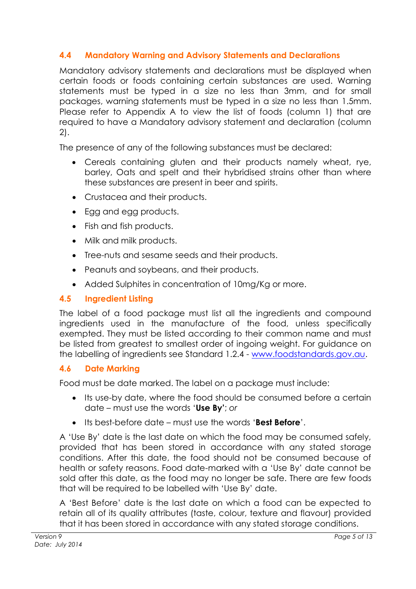# <span id="page-4-0"></span>**4.4 Mandatory Warning and Advisory Statements and Declarations**

Mandatory advisory statements and declarations must be displayed when certain foods or foods containing certain substances are used. Warning statements must be typed in a size no less than 3mm, and for small packages, warning statements must be typed in a size no less than 1.5mm. Please refer to Appendix A to view the list of foods (column 1) that are required to have a Mandatory advisory statement and declaration (column 2).

The presence of any of the following substances must be declared:

- Cereals containing gluten and their products namely wheat, rye, barley, Oats and spelt and their hybridised strains other than where these substances are present in beer and spirits.
- Crustacea and their products.
- Egg and egg products.
- Fish and fish products.
- Milk and milk products.
- Tree-nuts and sesame seeds and their products.
- Peanuts and soybeans, and their products.
- Added Sulphites in concentration of 10mg/Kg or more.

#### <span id="page-4-1"></span>**4.5 Ingredient Listing**

The label of a food package must list all the ingredients and compound ingredients used in the manufacture of the food, unless specifically exempted. They must be listed according to their common name and must be listed from greatest to smallest order of ingoing weight. For guidance on the labelling of ingredients see Standard 1.2.4 - [www.foodstandards.gov.au.](http://www.foodstandards.gov.au/)

#### <span id="page-4-2"></span>**4.6 Date Marking**

Food must be date marked. The label on a package must include:

- Its use-by date, where the food should be consumed before a certain date – must use the words '**Use By'**; *or*
- Its best-before date must use the words '**Best Before**'.

A 'Use By' date is the last date on which the food may be consumed safely, provided that has been stored in accordance with any stated storage conditions. After this date, the food should not be consumed because of health or safety reasons. Food date-marked with a 'Use By' date cannot be sold after this date, as the food may no longer be safe. There are few foods that will be required to be labelled with 'Use By' date.

A 'Best Before' date is the last date on which a food can be expected to retain all of its quality attributes (taste, colour, texture and flavour) provided that it has been stored in accordance with any stated storage conditions.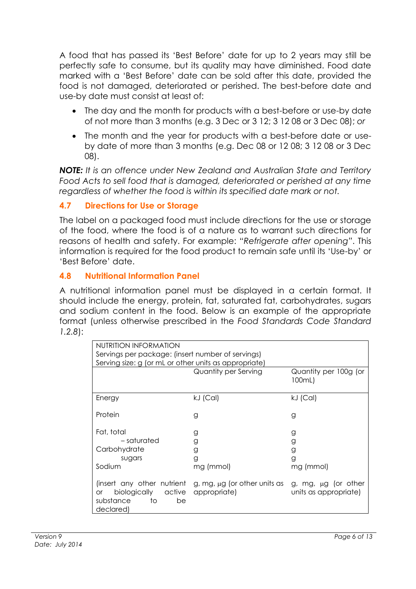A food that has passed its 'Best Before' date for up to 2 years may still be perfectly safe to consume, but its quality may have diminished. Food date marked with a 'Best Before' date can be sold after this date, provided the food is not damaged, deteriorated or perished. The best-before date and use-by date must consist at least of:

- The day and the month for products with a best-before or use-by date of not more than 3 months (e.g. 3 Dec or 3 12; 3 12 08 or 3 Dec 08); *or*
- The month and the year for products with a best-before date or useby date of more than 3 months (e.g. Dec 08 or 12 08; 3 12 08 or 3 Dec 08).

*NOTE: It is an offence under New Zealand and Australian State and Territory Food Acts to sell food that is damaged, deteriorated or perished at any time regardless of whether the food is within its specified date mark or not.*

# <span id="page-5-0"></span>**4.7 Directions for Use or Storage**

The label on a packaged food must include directions for the use or storage of the food, where the food is of a nature as to warrant such directions for reasons of health and safety. For example: "*Refrigerate after opening"*. This information is required for the food product to remain safe until its 'Use-by' or 'Best Before' date.

### <span id="page-5-1"></span>**4.8 Nutritional Information Panel**

A nutritional information panel must be displayed in a certain format. It should include the energy, protein, fat, saturated fat, carbohydrates, sugars and sodium content in the food. Below is an example of the appropriate format (unless otherwise prescribed in the *Food Standards Code Standard 1.2.8*):

| NUTRITION INFORMATION<br>Servings per package: (insert number of servings)<br>Serving size: g (or mL or other units as appropriate) |                                                   |                                                   |  |  |  |  |
|-------------------------------------------------------------------------------------------------------------------------------------|---------------------------------------------------|---------------------------------------------------|--|--|--|--|
|                                                                                                                                     | Quantity per Serving                              | Quantity per 100g (or<br>100mL)                   |  |  |  |  |
| Energy                                                                                                                              | $kJ$ (Cal)                                        | kJ (Cal)                                          |  |  |  |  |
| Protein                                                                                                                             | g                                                 | g                                                 |  |  |  |  |
| Fat, total<br>– saturated<br>Carbohydrate<br>sugars<br>Sodium                                                                       | g<br>g<br>g<br>g<br>mg (mmol)                     | g<br>g<br>g<br>g<br>mg (mmol)                     |  |  |  |  |
| (insert any other nutrient<br>biologically active<br><b>or</b><br>substance<br>to<br>be<br>declared)                                | g, mg, $\mu$ g (or other units as<br>appropriate) | g, mg, $\mu$ g (or other<br>units as appropriate) |  |  |  |  |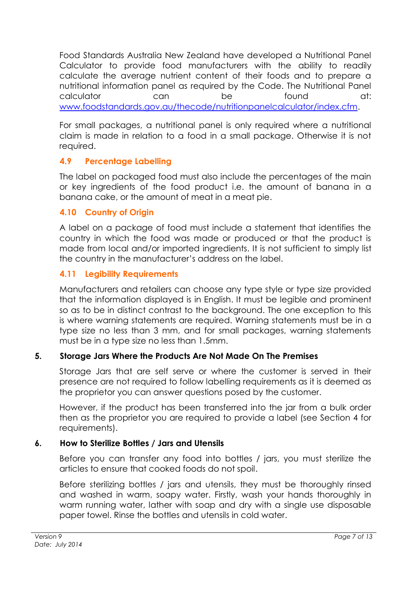Food Standards Australia New Zealand have developed a Nutritional Panel Calculator to provide food manufacturers with the ability to readily calculate the average nutrient content of their foods and to prepare a nutritional information panel as required by the Code. The Nutritional Panel calculator can be found at: [www.foodstandards.gov.au/thecode/nutritionpanelcalculator/index.cfm.](http://www.foodstandards.gov.au/thecode/nutritionpanelcalculator/index.cfm)

For small packages, a nutritional panel is only required where a nutritional claim is made in relation to a food in a small package. Otherwise it is not required.

# <span id="page-6-0"></span>**4.9 Percentage Labelling**

The label on packaged food must also include the percentages of the main or key ingredients of the food product i.e. the amount of banana in a banana cake, or the amount of meat in a meat pie.

### <span id="page-6-1"></span>**4.10 Country of Origin**

A label on a package of food must include a statement that identifies the country in which the food was made or produced or that the product is made from local and/or imported ingredients. It is not sufficient to simply list the country in the manufacturer's address on the label.

# <span id="page-6-2"></span>**4.11 Legibility Requirements**

Manufacturers and retailers can choose any type style or type size provided that the information displayed is in English. It must be legible and prominent so as to be in distinct contrast to the background. The one exception to this is where warning statements are required. Warning statements must be in a type size no less than 3 mm, and for small packages, warning statements must be in a type size no less than 1.5mm.

# <span id="page-6-3"></span>**5. Storage Jars Where the Products Are Not Made On The Premises**

Storage Jars that are self serve or where the customer is served in their presence are not required to follow labelling requirements as it is deemed as the proprietor you can answer questions posed by the customer.

However, if the product has been transferred into the jar from a bulk order then as the proprietor you are required to provide a label (see Section 4 for requirements).

#### <span id="page-6-4"></span>**6. How to Sterilize Bottles / Jars and Utensils**

Before you can transfer any food into bottles / jars, you must sterilize the articles to ensure that cooked foods do not spoil.

Before sterilizing bottles / jars and utensils, they must be thoroughly rinsed and washed in warm, soapy water. Firstly, wash your hands thoroughly in warm running water, lather with soap and dry with a single use disposable paper towel. Rinse the bottles and utensils in cold water.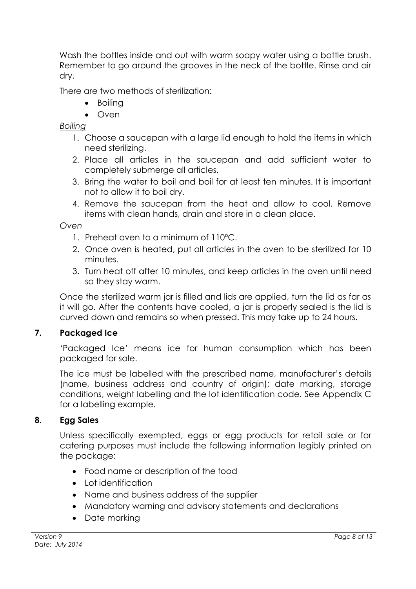Wash the bottles inside and out with warm soapy water using a bottle brush. Remember to go around the grooves in the neck of the bottle. Rinse and air dry.

There are two methods of sterilization:

- Boiling
- Oven

#### *Boiling*

- 1. Choose a saucepan with a large lid enough to hold the items in which need sterilizing.
- 2. Place all articles in the saucepan and add sufficient water to completely submerge all articles.
- 3. Bring the water to boil and boil for at least ten minutes. It is important not to allow it to boil dry.
- 4. Remove the saucepan from the heat and allow to cool. Remove items with clean hands, drain and store in a clean place.

#### *Oven*

- 1. Preheat oven to a minimum of 110ºC.
- 2. Once oven is heated, put all articles in the oven to be sterilized for 10 minutes.
- 3. Turn heat off after 10 minutes, and keep articles in the oven until need so they stay warm.

Once the sterilized warm jar is filled and lids are applied, turn the lid as far as it will go. After the contents have cooled, a jar is properly sealed is the lid is curved down and remains so when pressed. This may take up to 24 hours.

#### <span id="page-7-0"></span>**7. Packaged Ice**

'Packaged Ice' means ice for human consumption which has been packaged for sale.

The ice must be labelled with the prescribed name, manufacturer's details (name, business address and country of origin); date marking, storage conditions, weight labelling and the lot identification code. See Appendix C for a labelling example.

#### <span id="page-7-1"></span>**8. Egg Sales**

Unless specifically exempted, eggs or egg products for retail sale or for catering purposes must include the following information legibly printed on the package:

- Food name or description of the food
- Lot identification
- Name and business address of the supplier
- Mandatory warning and advisory statements and declarations
- Date marking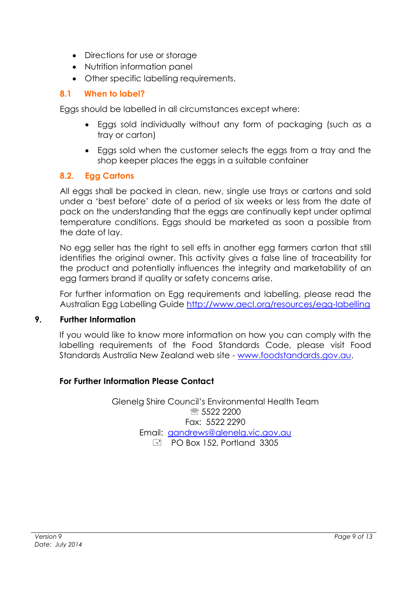- Directions for use or storage
- Nutrition information panel
- <span id="page-8-0"></span>Other specific labelling requirements.

#### **8.1 When to label?**

Eggs should be labelled in all circumstances except where:

- Eggs sold individually without any form of packaging (such as a tray or carton)
- Eggs sold when the customer selects the eggs from a tray and the shop keeper places the eggs in a suitable container

#### <span id="page-8-1"></span>**8.2. Egg Cartons**

All eggs shall be packed in clean, new, single use trays or cartons and sold under a 'best before' date of a period of six weeks or less from the date of pack on the understanding that the eggs are continually kept under optimal temperature conditions. Eggs should be marketed as soon a possible from the date of lay.

No egg seller has the right to sell effs in another egg farmers carton that still identifies the original owner. This activity gives a false line of traceability for the product and potentially influences the integrity and marketability of an egg farmers brand if quality or safety concerns arise.

For further information on Egg requirements and labelling, please read the Australian Egg Labelling Guide<http://www.aecl.org/resources/egg-labelling>

#### <span id="page-8-2"></span>**9. Further Information**

If you would like to know more information on how you can comply with the labelling requirements of the Food Standards Code, please visit Food Standards Australia New Zealand web site - [www.foodstandards.gov.au.](http://www.foodstandards.gov.au/)

#### **For Further Information Please Contact**

Glenelg Shire Council's Environmental Health Team **R** 5522 2200 Fax: 5522 2290 Email: [gandrews@glenelg.vic.gov.au](mailto:gandrews@glenelg.vic.gov.au)  $\boxed{=}$  PO Box 152, Portland 3305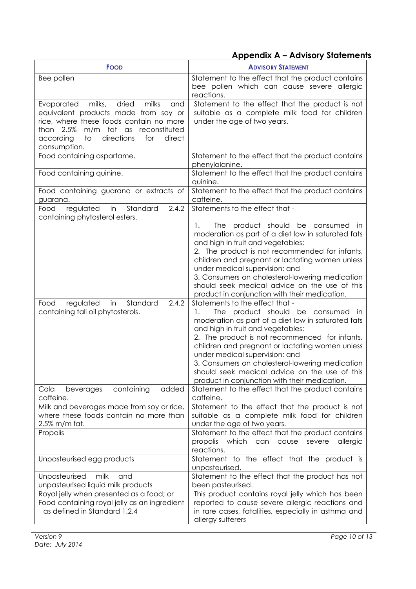# **Appendix A – Advisory Statements**

<span id="page-9-0"></span>

| <b>FOOD</b>                                                                                                                                                                                                                              | <b>ADVISORY STATEMENT</b>                                                                                                                                                                                                                                                                                                                                                                                                                                                                                                                                                                                                                                                                                                                                                                                                                                                                               |  |
|------------------------------------------------------------------------------------------------------------------------------------------------------------------------------------------------------------------------------------------|---------------------------------------------------------------------------------------------------------------------------------------------------------------------------------------------------------------------------------------------------------------------------------------------------------------------------------------------------------------------------------------------------------------------------------------------------------------------------------------------------------------------------------------------------------------------------------------------------------------------------------------------------------------------------------------------------------------------------------------------------------------------------------------------------------------------------------------------------------------------------------------------------------|--|
| Bee pollen                                                                                                                                                                                                                               | Statement to the effect that the product contains<br>bee pollen which can cause severe allergic<br>reactions.                                                                                                                                                                                                                                                                                                                                                                                                                                                                                                                                                                                                                                                                                                                                                                                           |  |
| dried<br>Evaporated milks,<br>milks<br>and<br>equivalent products made from soy or<br>rice, where these foods contain no more<br>m/m fat as reconstituted<br>than 2.5%<br>directions<br>according<br>to<br>for<br>direct<br>consumption. | Statement to the effect that the product is not<br>suitable as a complete milk food for children<br>under the age of two years.                                                                                                                                                                                                                                                                                                                                                                                                                                                                                                                                                                                                                                                                                                                                                                         |  |
| Food containing aspartame.                                                                                                                                                                                                               | Statement to the effect that the product contains<br>phenylalanine.                                                                                                                                                                                                                                                                                                                                                                                                                                                                                                                                                                                                                                                                                                                                                                                                                                     |  |
| Food containing quinine.                                                                                                                                                                                                                 | Statement to the effect that the product contains<br>quinine.                                                                                                                                                                                                                                                                                                                                                                                                                                                                                                                                                                                                                                                                                                                                                                                                                                           |  |
| Food containing guarana or extracts of<br>guarana.                                                                                                                                                                                       | Statement to the effect that the product contains<br>caffeine.                                                                                                                                                                                                                                                                                                                                                                                                                                                                                                                                                                                                                                                                                                                                                                                                                                          |  |
| regulated<br>in<br>Standard<br>2.4.2<br>Food<br>containing phytosterol esters.                                                                                                                                                           | Statements to the effect that -                                                                                                                                                                                                                                                                                                                                                                                                                                                                                                                                                                                                                                                                                                                                                                                                                                                                         |  |
| in<br>Standard<br>2.4.2<br>regulated<br>Food<br>containing tall oil phytosterols.                                                                                                                                                        | The product should be consumed in<br>1.<br>moderation as part of a diet low in saturated fats<br>and high in fruit and vegetables;<br>2. The product is not recommended for infants,<br>children and pregnant or lactating women unless<br>under medical supervision; and<br>3. Consumers on cholesterol-lowering medication<br>should seek medical advice on the use of this<br>product in conjunction with their medication.<br>Statements to the effect that -<br>The product should be consumed<br>1.<br>in.<br>moderation as part of a diet low in saturated fats<br>and high in fruit and vegetables;<br>2. The product is not recommenced for infants,<br>children and pregnant or lactating women unless<br>under medical supervision; and<br>3. Consumers on cholesterol-lowering medication<br>should seek medical advice on the use of this<br>product in conjunction with their medication. |  |
| added<br>containing<br>Cola<br>beverages<br>caffeine.                                                                                                                                                                                    | Statement to the effect that the product contains<br>caffeine.                                                                                                                                                                                                                                                                                                                                                                                                                                                                                                                                                                                                                                                                                                                                                                                                                                          |  |
| Milk and beverages made from soy or rice,<br>where these foods contain no more than<br>2.5% m/m fat.                                                                                                                                     | Statement to the effect that the product is not<br>suitable as a complete milk food for children<br>under the age of two years.                                                                                                                                                                                                                                                                                                                                                                                                                                                                                                                                                                                                                                                                                                                                                                         |  |
| Propolis                                                                                                                                                                                                                                 | Statement to the effect that the product contains<br>propolis<br>which<br>can<br>cause<br>severe<br>allergic<br>reactions.                                                                                                                                                                                                                                                                                                                                                                                                                                                                                                                                                                                                                                                                                                                                                                              |  |
| Unpasteurised egg products                                                                                                                                                                                                               | Statement to the effect that the product is<br>unpasteurised.                                                                                                                                                                                                                                                                                                                                                                                                                                                                                                                                                                                                                                                                                                                                                                                                                                           |  |
| Unpasteurised<br>milk<br>and<br>unpasteurised liquid milk products                                                                                                                                                                       | Statement to the effect that the product has not<br>been pasteurised.                                                                                                                                                                                                                                                                                                                                                                                                                                                                                                                                                                                                                                                                                                                                                                                                                                   |  |
| Royal jelly when presented as a food; or<br>Food containing royal jelly as an ingredient<br>as defined in Standard 1.2.4                                                                                                                 | This product contains royal jelly which has been<br>reported to cause severe allergic reactions and<br>in rare cases, fatalities, especially in asthma and<br>allergy sufferers                                                                                                                                                                                                                                                                                                                                                                                                                                                                                                                                                                                                                                                                                                                         |  |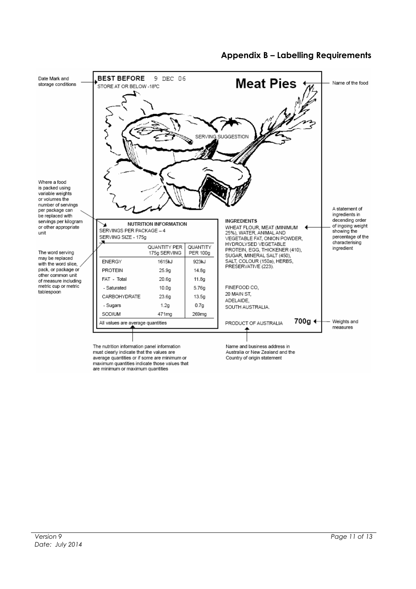<span id="page-10-0"></span>

#### **Appendix B – Labelling Requirements**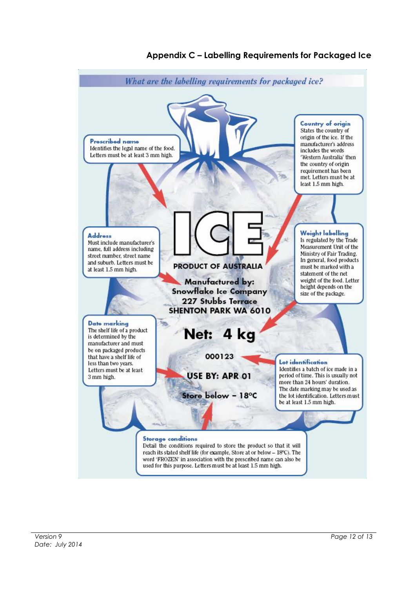<span id="page-11-0"></span>

#### **Appendix C – Labelling Requirements for Packaged Ice**